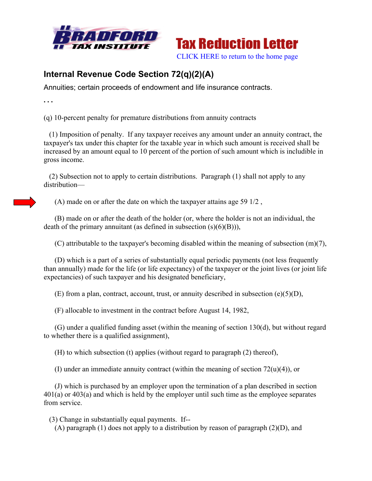



## **Internal Revenue Code Section 72(q)(2)(A)**

Annuities; certain proceeds of endowment and life insurance contracts.

**. . .** 

(q) 10-percent penalty for premature distributions from annuity contracts

 (1) Imposition of penalty. If any taxpayer receives any amount under an annuity contract, the taxpayer's tax under this chapter for the taxable year in which such amount is received shall be increased by an amount equal to 10 percent of the portion of such amount which is includible in gross income.

 (2) Subsection not to apply to certain distributions. Paragraph (1) shall not apply to any distribution—

(A) made on or after the date on which the taxpayer attains age 59 1/2 ,

 (B) made on or after the death of the holder (or, where the holder is not an individual, the death of the primary annuitant (as defined in subsection  $(s)(6)(B)$ )),

(C) attributable to the taxpayer's becoming disabled within the meaning of subsection (m)(7),

 (D) which is a part of a series of substantially equal periodic payments (not less frequently than annually) made for the life (or life expectancy) of the taxpayer or the joint lives (or joint life expectancies) of such taxpayer and his designated beneficiary,

(E) from a plan, contract, account, trust, or annuity described in subsection  $(e)(5)(D)$ ,

(F) allocable to investment in the contract before August 14, 1982,

 (G) under a qualified funding asset (within the meaning of section 130(d), but without regard to whether there is a qualified assignment),

(H) to which subsection (t) applies (without regard to paragraph (2) thereof),

(I) under an immediate annuity contract (within the meaning of section  $72(u)(4)$ ), or

 (J) which is purchased by an employer upon the termination of a plan described in section 401(a) or 403(a) and which is held by the employer until such time as the employee separates from service.

(3) Change in substantially equal payments. If--

(A) paragraph (1) does not apply to a distribution by reason of paragraph (2)(D), and